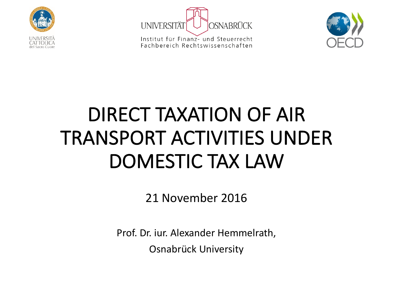



Institut für Finanz- und Steuerrecht Fachbereich Rechtswissenschaften



### DIRECT TAXATION OF AIR TRANSPORT ACTIVITIES UNDER DOMESTIC TAX LAW

21 November 2016

Prof. Dr. iur. Alexander Hemmelrath,

Osnabrück University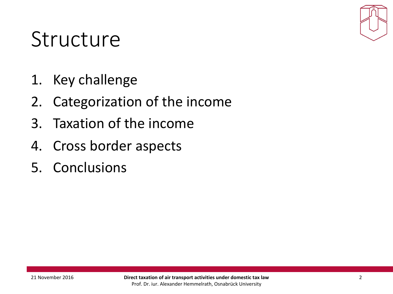

- 1. Key challenge
- 2. Categorization of the income
- 3. Taxation of the income
- 4. Cross border aspects
- 5. Conclusions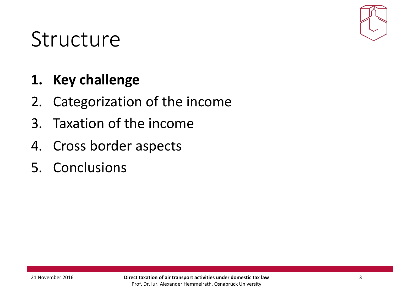

#### **1. Key challenge**

- 2. Categorization of the income
- 3. Taxation of the income
- 4. Cross border aspects
- 5. Conclusions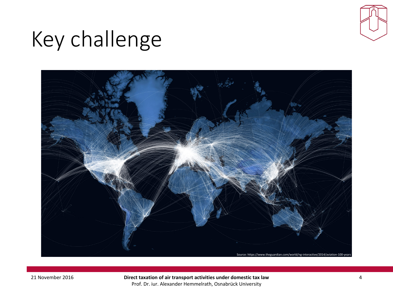

# Key challenge



21 November 2016 **Direct taxation of air transport activities under domestic tax law** Prof. Dr. iur. Alexander Hemmelrath, Osnabrück University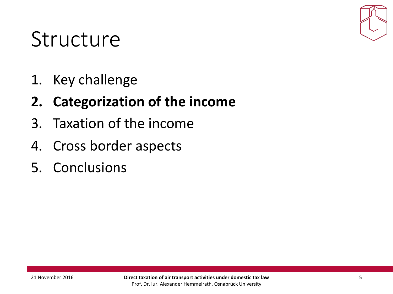

1. Key challenge

#### **2. Categorization of the income**

- 3. Taxation of the income
- 4. Cross border aspects
- 5. Conclusions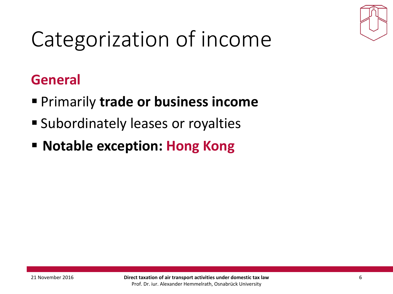

# Categorization of income

#### **General**

- Primarily trade or business income
- Subordinately leases or royalties
- **E** Notable exception: Hong Kong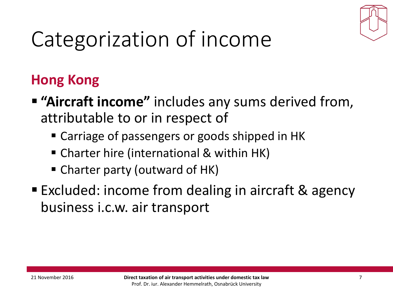

# Categorization of income

#### **Hong Kong**

- **E** "Aircraft income" includes any sums derived from, attributable to or in respect of
	- Carriage of passengers or goods shipped in HK
	- Charter hire (international & within HK)
	- Charter party (outward of HK)
- Excluded: income from dealing in aircraft & agency business i.c.w. air transport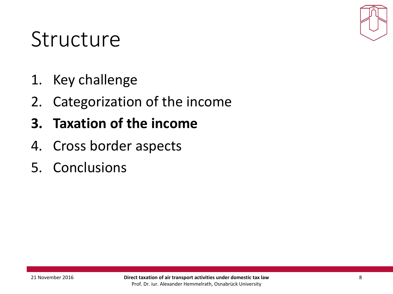

- 1. Key challenge
- 2. Categorization of the income
- **3. Taxation of the income**
- 4. Cross border aspects
- 5. Conclusions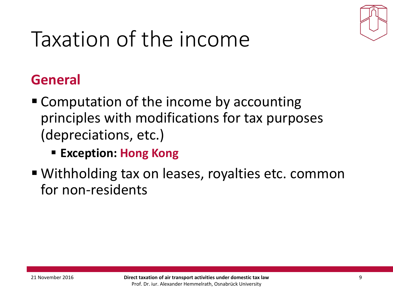

# Taxation of the income

#### **General**

- Computation of the income by accounting principles with modifications for tax purposes (depreciations, etc.)
	- Exception: Hong Kong
- Withholding tax on leases, royalties etc. common for non-residents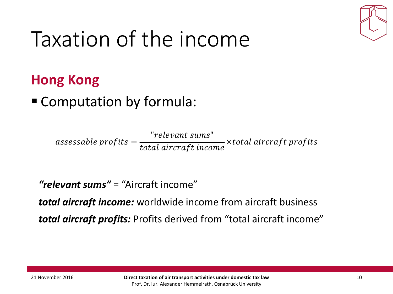

# Taxation of the income

#### **Hong Kong**

#### ■ Computation by formula:

assessable profits  $=\frac{$  "relevant sums" total aircraft income xtotal aircraft profits

**"relevant sums"** = "Aircraft income"

*total aircraft income:* worldwide income from aircraft business *total aircraft profits:* Profits derived from "total aircraft income"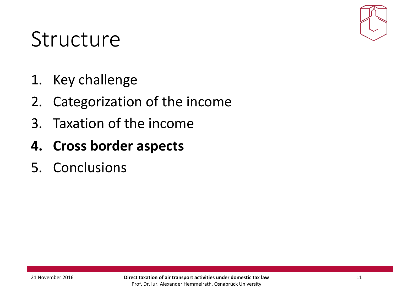

- 1. Key challenge
- 2. Categorization of the income
- 3. Taxation of the income
- **4. Cross border aspects**
- 5. Conclusions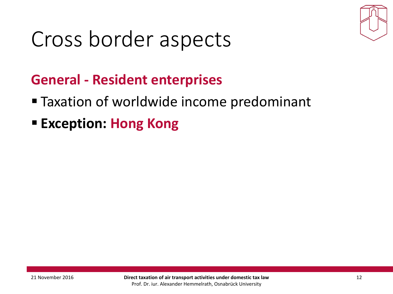

#### **General - Resident enterprises**

- Taxation of worldwide income predominant
- Exception: **Hong Kong**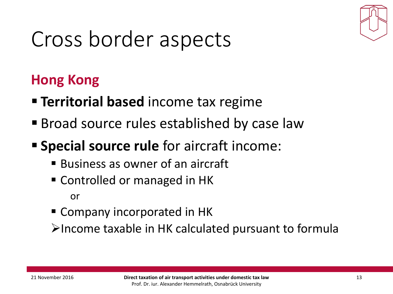

#### **Hong Kong**

- **Example Territorial based** income tax regime
- Broad source rules established by case law
- **Special source rule** for aircraft income:
	- Business as owner of an aircraft
	- Controlled or managed in HK

or

■ Company incorporated in HK

 $\blacktriangleright$  Income taxable in HK calculated pursuant to formula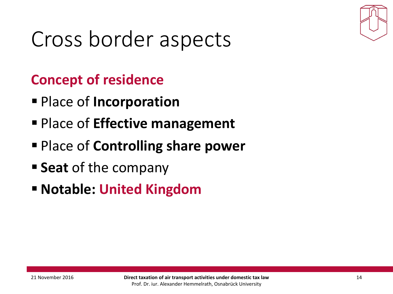

#### **Concept of residence**

- § Place of **Incorporation**
- Place of **Effective management**
- Place of **Controlling share power**
- **Seat** of the company
- **E** Notable: United Kingdom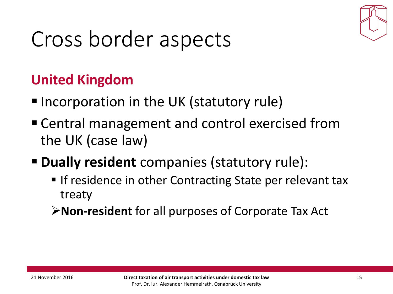

#### **United Kingdom**

- Incorporation in the UK (statutory rule)
- Central management and control exercised from the UK (case law)
- **P** Dually resident companies (statutory rule):
	- **If residence in other Contracting State per relevant tax** treaty
	- **≻Non-resident** for all purposes of Corporate Tax Act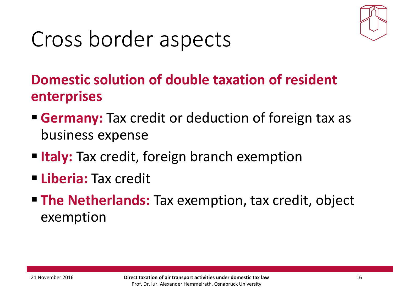

#### **Domestic solution of double taxation of resident enterprises**

- **Germany:** Tax credit or deduction of foreign tax as business expense
- **Example 11 Italy:** Tax credit, foreign branch exemption
- § **Liberia:** Tax credit
- **The Netherlands:** Tax exemption, tax credit, object exemption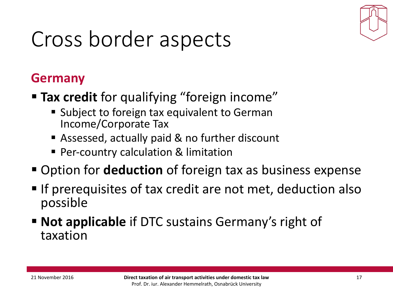

#### **Germany**

- **Figure 1 Tax credit** for qualifying "foreign income"
	- Subject to foreign tax equivalent to German Income/Corporate Tax
	- Assessed, actually paid & no further discount
	- **Per-country calculation & limitation**
- Option for **deduction** of foreign tax as business expense
- **If prerequisites of tax credit are not met, deduction also** possible
- **Not applicable** if DTC sustains Germany's right of taxation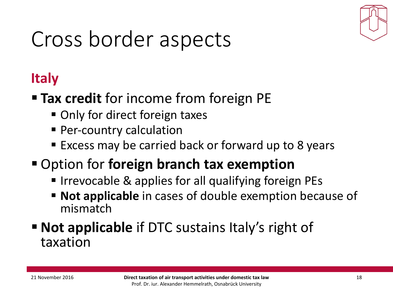

#### **Italy**

- Tax credit for income from foreign PE
	- Only for direct foreign taxes
	- **Per-country calculation**
	- Excess may be carried back or forward up to 8 years
- Option for **foreign branch tax exemption** 
	- Irrevocable & applies for all qualifying foreign PEs
	- **Not applicable** in cases of double exemption because of mismatch
- **Not applicable** if DTC sustains Italy's right of taxation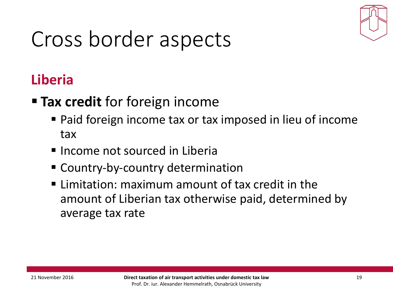

#### **Liberia**

- **Figure Tax credit** for foreign income
	- Paid foreign income tax or tax imposed in lieu of income tax
	- $\blacksquare$  Income not sourced in Liberia
	- Country-by-country determination
	- $\blacksquare$  Limitation: maximum amount of tax credit in the amount of Liberian tax otherwise paid, determined by average tax rate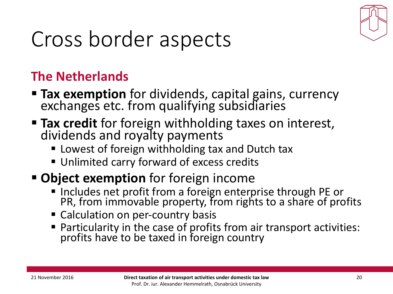

#### **The Netherlands**

- **Tax exemption** for dividends, capital gains, currency exchanges etc. from qualifying subsidiaries
- **Fiax credit** for foreign withholding taxes on interest,<br>dividends and royalty payments
	- Lowest of foreign withholding tax and Dutch tax
	- Unlimited carry forward of excess credits
- **Object exemption** for foreign income
	- **· Includes net profit from a foreign enterprise through PE or** PR, from immovable property, from rights to a share of profits
	- Calculation on per-country basis
	- Particularity in the case of profits from air transport activities: profits have to be taxed in foreign country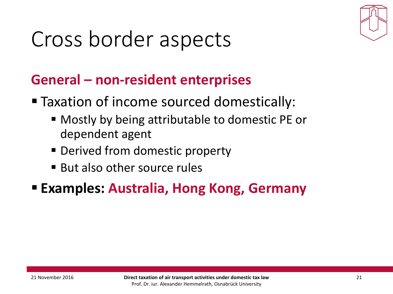

#### General – non-resident enterprises

- Taxation of income sourced domestically:
	- Mostly by being attributable to domestic PE or dependent agent
	- Derived from domestic property
	- $\blacksquare$  But also other source rules
- **Examples: Australia, Hong Kong, Germany**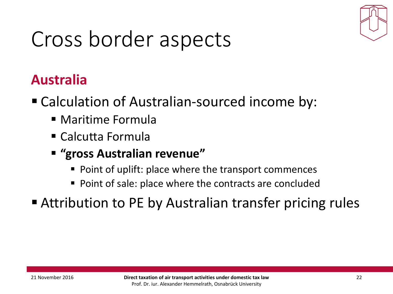

#### **Australia**

- Calculation of Australian-sourced income by:
	- Maritime Formula
	- Calcutta Formula
	- § **"gross Australian revenue"**
		- Point of uplift: place where the transport commences
		- Point of sale: place where the contracts are concluded
- Attribution to PE by Australian transfer pricing rules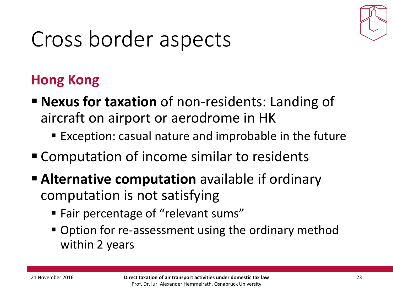

#### **Hong Kong**

- **Example 1 Nexus for taxation** of non-residents: Landing of aircraft on airport or aerodrome in HK
	- Exception: casual nature and improbable in the future
- Computation of income similar to residents
- **Example 1** Alternative computation available if ordinary computation is not satisfying
	- Fair percentage of "relevant sums"
	- Option for re-assessment using the ordinary method within 2 years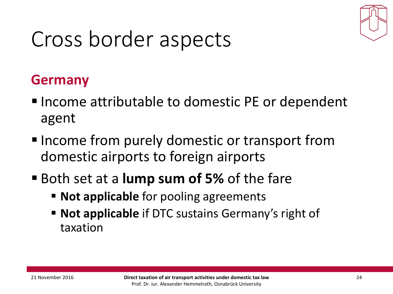

#### **Germany**

- Income attributable to domestic PE or dependent agent
- Income from purely domestic or transport from domestic airports to foreign airports
- Both set at a **lump sum of 5%** of the fare
	- **Example 10 Not applicable** for pooling agreements
	- **Not applicable** if DTC sustains Germany's right of taxation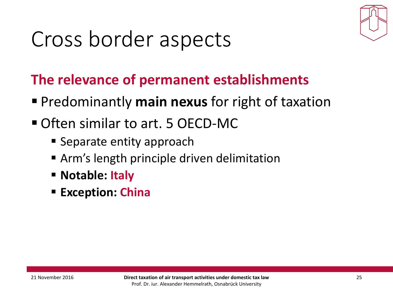

#### **The relevance of permanent establishments**

- **Predominantly main nexus for right of taxation**
- Often similar to art. 5 OECD-MC
	- Separate entity approach
	- **E** Arm's length principle driven delimitation
	- **E** Notable: Italy
	- **Exception: China**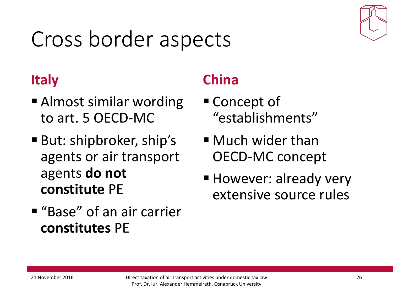

#### **Italy**

- Almost similar wording to art. 5 OECD-MC
- But: shipbroker, ship's agents or air transport agents do not **constitute** PE
- "Base" of an air carrier **constitutes** PE

#### **China**

- Concept of "establishments"
- $\blacksquare$  Much wider than OECD-MC concept
- However: already very extensive source rules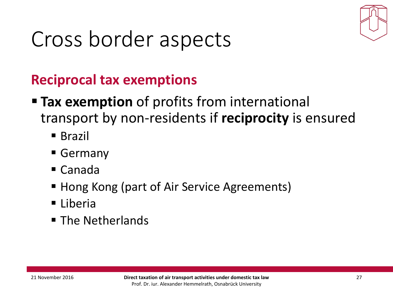

#### **Reciprocal tax exemptions**

- **Tax exemption** of profits from international transport by non-residents if reciprocity is ensured
	- Brazil
	- § Germany
	- Canada
	- Hong Kong (part of Air Service Agreements)
	- Liberia
	- The Netherlands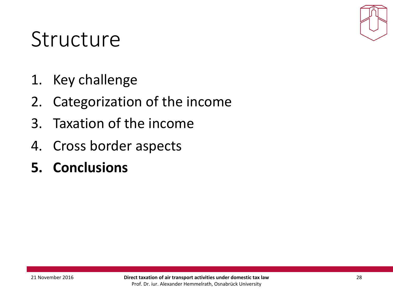

- 1. Key challenge
- 2. Categorization of the income
- 3. Taxation of the income
- 4. Cross border aspects
- **5. Conclusions**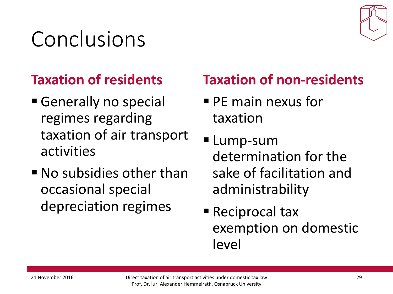# Conclusions

#### **Taxation of residents**

- Generally no special regimes regarding taxation of air transport activities
- $\blacksquare$  No subsidies other than occasional special depreciation regimes

### **Taxation of non-residents**

- $\blacksquare$  PE main nexus for taxation
- Lump-sum determination for the sake of facilitation and administrability
- Reciprocal tax exemption on domestic level